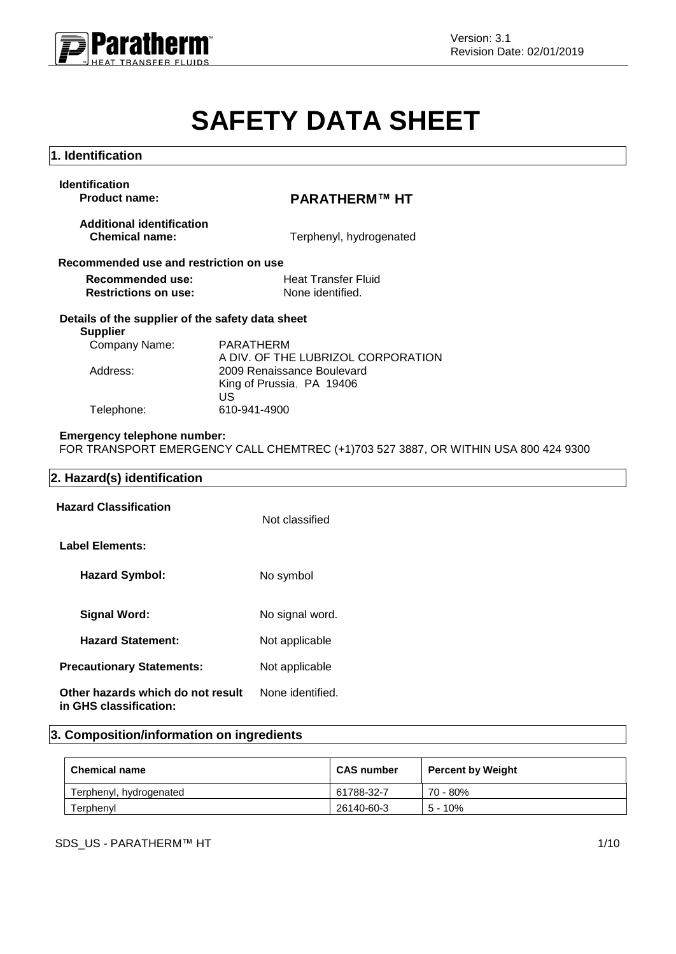

# **SAFETY DATA SHEET**

| 1. Identification                                                   |                                                                                    |
|---------------------------------------------------------------------|------------------------------------------------------------------------------------|
| <b>Identification</b><br><b>Product name:</b>                       | <b>PARATHERM™ HT</b>                                                               |
| <b>Additional identification</b><br><b>Chemical name:</b>           | Terphenyl, hydrogenated                                                            |
| Recommended use and restriction on use                              |                                                                                    |
| <b>Recommended use:</b><br><b>Restrictions on use:</b>              | <b>Heat Transfer Fluid</b><br>None identified.                                     |
| Details of the supplier of the safety data sheet<br><b>Supplier</b> |                                                                                    |
| Company Name:                                                       | PARATHERM<br>A DIV. OF THE LUBRIZOL CORPORATION                                    |
| Address:                                                            | 2009 Renaissance Boulevard<br>King of Prussia, PA 19406<br>US                      |
| Telephone:                                                          | 610-941-4900                                                                       |
| <b>Emergency telephone number:</b>                                  | FOR TRANSPORT EMERGENCY CALL CHEMTREC (+1)703 527 3887, OR WITHIN USA 800 424 9300 |
| 2. Hazard(s) identification                                         |                                                                                    |
| <b>Hazard Classification</b>                                        | Not classified                                                                     |
| <b>Label Elements:</b>                                              |                                                                                    |
| <b>Hazard Symbol:</b>                                               | No symbol                                                                          |
| <b>Signal Word:</b>                                                 | No signal word.                                                                    |
| <b>Hazard Statement:</b>                                            | Not applicable                                                                     |
| <b>Precautionary Statements:</b>                                    | Not applicable                                                                     |
| Other hazards which do not result                                   | None identified.                                                                   |

# **3. Composition/information on ingredients**

| <b>Chemical name</b>    | <b>CAS number</b> | <b>Percent by Weight</b> |
|-------------------------|-------------------|--------------------------|
| Terphenyl, hydrogenated | 61788-32-7        | 70 - 80%                 |
| Terphenyl               | 26140-60-3        | $5 - 10%$                |

**in GHS classification:**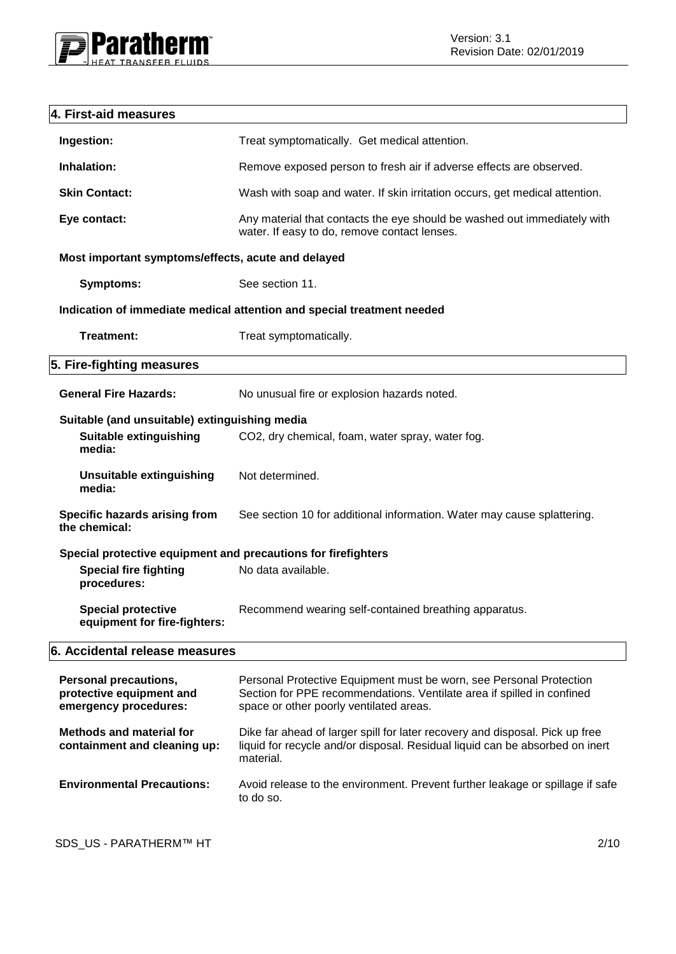

# **4. First-aid measures Ingestion:** Treat symptomatically. Get medical attention. **Inhalation:** Remove exposed person to fresh air if adverse effects are observed. **Skin Contact:** Wash with soap and water. If skin irritation occurs, get medical attention. **Eye contact:** Any material that contacts the eye should be washed out immediately with water. If easy to do, remove contact lenses. **Most important symptoms/effects, acute and delayed Symptoms:** See section 11. **Indication of immediate medical attention and special treatment needed Treatment:** Treat symptomatically. **5. Fire-fighting measures** General Fire Hazards: No unusual fire or explosion hazards noted. **Suitable (and unsuitable) extinguishing media Suitable extinguishing media:** CO2, dry chemical, foam, water spray, water fog. **Unsuitable extinguishing media:** Not determined. **Specific hazards arising from the chemical:** See section 10 for additional information. Water may cause splattering. **Special protective equipment and precautions for firefighters Special fire fighting procedures:** No data available. **Special protective equipment for fire-fighters:** Recommend wearing self-contained breathing apparatus. **6. Accidental release measures Personal precautions, protective equipment and emergency procedures:** Personal Protective Equipment must be worn, see Personal Protection Section for PPE recommendations. Ventilate area if spilled in confined space or other poorly ventilated areas. **Methods and material for containment and cleaning up:** Dike far ahead of larger spill for later recovery and disposal. Pick up free liquid for recycle and/or disposal. Residual liquid can be absorbed on inert material. **Environmental Precautions:** Avoid release to the environment. Prevent further leakage or spillage if safe to do so.

SDS US - PARATHERM™ HT 2/10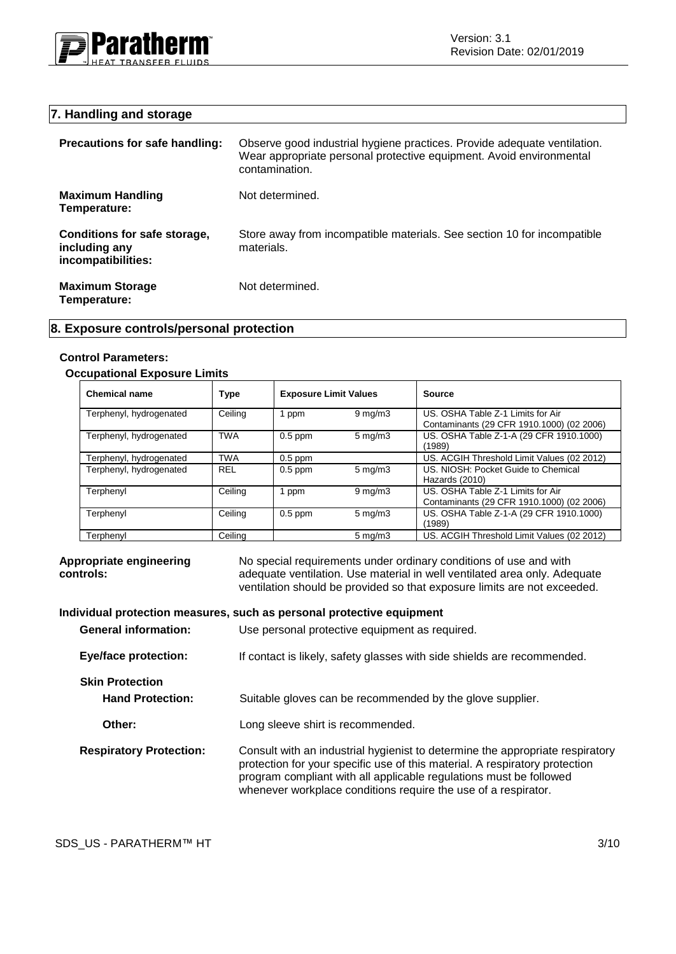

# **7. Handling and storage**

| <b>Precautions for safe handling:</b>                               | Observe good industrial hygiene practices. Provide adequate ventilation.<br>Wear appropriate personal protective equipment. Avoid environmental<br>contamination. |
|---------------------------------------------------------------------|-------------------------------------------------------------------------------------------------------------------------------------------------------------------|
| <b>Maximum Handling</b><br>Temperature:                             | Not determined.                                                                                                                                                   |
| Conditions for safe storage,<br>including any<br>incompatibilities: | Store away from incompatible materials. See section 10 for incompatible<br>materials.                                                                             |
| <b>Maximum Storage</b><br>Temperature:                              | Not determined.                                                                                                                                                   |

#### **8. Exposure controls/personal protection**

# **Control Parameters:**

#### **Occupational Exposure Limits**

| <b>Chemical name</b>    | <b>Type</b> | <b>Exposure Limit Values</b> |                     | Source                                                                         |
|-------------------------|-------------|------------------------------|---------------------|--------------------------------------------------------------------------------|
| Terphenyl, hydrogenated | Ceiling     | 1 ppm                        | $9 \,\mathrm{mq/m}$ | US. OSHA Table Z-1 Limits for Air<br>Contaminants (29 CFR 1910.1000) (02 2006) |
| Terphenyl, hydrogenated | <b>TWA</b>  | $0.5$ ppm                    | $5 \text{ mg/m}$    | US. OSHA Table Z-1-A (29 CFR 1910.1000)<br>(1989)                              |
| Terphenyl, hydrogenated | <b>TWA</b>  | $0.5$ ppm                    |                     | US. ACGIH Threshold Limit Values (02 2012)                                     |
| Terphenyl, hydrogenated | <b>REL</b>  | $0.5$ ppm                    | $5 \text{ mg/m}$    | US. NIOSH: Pocket Guide to Chemical<br>Hazards (2010)                          |
| Terphenyl               | Ceiling     | 1 ppm                        | $9 \,\mathrm{mq/m}$ | US. OSHA Table Z-1 Limits for Air<br>Contaminants (29 CFR 1910.1000) (02 2006) |
| Terphenyl               | Ceilina     | $0.5$ ppm                    | $5 \text{ mg/m}$    | US. OSHA Table Z-1-A (29 CFR 1910.1000)<br>(1989)                              |
| Terphenvl               | Ceilina     |                              | $5 \text{ mg/m}$    | US. ACGIH Threshold Limit Values (02 2012)                                     |

#### **Appropriate engineering controls:**

No special requirements under ordinary conditions of use and with adequate ventilation. Use material in well ventilated area only. Adequate ventilation should be provided so that exposure limits are not exceeded.

**Individual protection measures, such as personal protective equipment General information:** Use personal protective equipment as required. **Eye/face protection:** If contact is likely, safety glasses with side shields are recommended. **Skin Protection** Hand Protection: Suitable gloves can be recommended by the glove supplier. **Other:** Long sleeve shirt is recommended. **Respiratory Protection:** Consult with an industrial hygienist to determine the appropriate respiratory

# protection for your specific use of this material. A respiratory protection program compliant with all applicable regulations must be followed whenever workplace conditions require the use of a respirator.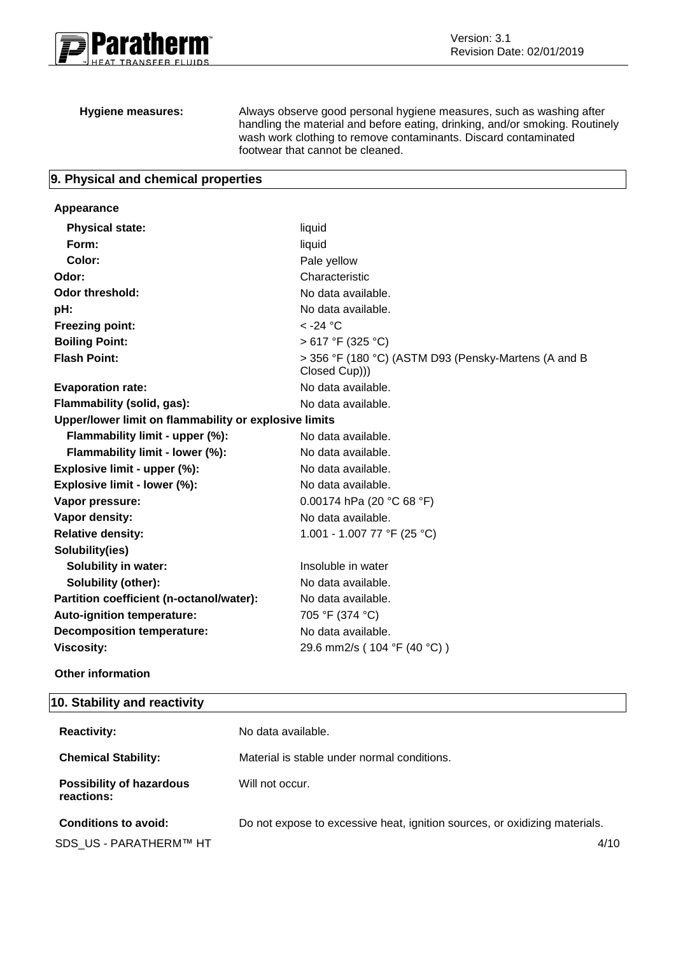

**Hygiene measures:** Always observe good personal hygiene measures, such as washing after handling the material and before eating, drinking, and/or smoking. Routinely wash work clothing to remove contaminants. Discard contaminated footwear that cannot be cleaned.

## **9. Physical and chemical properties**

| Appearance                                            |                                                                       |  |
|-------------------------------------------------------|-----------------------------------------------------------------------|--|
| <b>Physical state:</b>                                | liquid                                                                |  |
| Form:                                                 | liquid                                                                |  |
| Color:                                                | Pale yellow                                                           |  |
| Odor:                                                 | Characteristic                                                        |  |
| <b>Odor threshold:</b>                                | No data available.                                                    |  |
| pH:                                                   | No data available.                                                    |  |
| <b>Freezing point:</b>                                | $<$ -24 °C                                                            |  |
| <b>Boiling Point:</b>                                 | $>617$ °F (325 °C)                                                    |  |
| <b>Flash Point:</b>                                   | > 356 °F (180 °C) (ASTM D93 (Pensky-Martens (A and B<br>Closed Cup))) |  |
| <b>Evaporation rate:</b>                              | No data available.                                                    |  |
| Flammability (solid, gas):                            | No data available.                                                    |  |
| Upper/lower limit on flammability or explosive limits |                                                                       |  |
| Flammability limit - upper (%):                       | No data available.                                                    |  |
| Flammability limit - lower (%):                       | No data available.                                                    |  |
| Explosive limit - upper (%):                          | No data available.                                                    |  |
| Explosive limit - lower (%):                          | No data available.                                                    |  |
| Vapor pressure:                                       | 0.00174 hPa (20 $^{\circ}$ C 68 $^{\circ}$ F)                         |  |
| Vapor density:                                        | No data available.                                                    |  |
| <b>Relative density:</b>                              | 1.001 - 1.007 77 °F (25 °C)                                           |  |
| Solubility(ies)                                       |                                                                       |  |
| <b>Solubility in water:</b>                           | Insoluble in water                                                    |  |
| Solubility (other):                                   | No data available.                                                    |  |
| Partition coefficient (n-octanol/water):              | No data available.                                                    |  |
| Auto-ignition temperature:                            | 705 °F (374 °C)                                                       |  |
| <b>Decomposition temperature:</b>                     | No data available.                                                    |  |
| <b>Viscosity:</b>                                     | 29.6 mm2/s (104 °F (40 °C))                                           |  |

**Other information**

# **10. Stability and reactivity**

| <b>Reactivity:</b>                            | No data available.                                                         |
|-----------------------------------------------|----------------------------------------------------------------------------|
| <b>Chemical Stability:</b>                    | Material is stable under normal conditions.                                |
| <b>Possibility of hazardous</b><br>reactions: | Will not occur.                                                            |
| <b>Conditions to avoid:</b>                   | Do not expose to excessive heat, ignition sources, or oxidizing materials. |
| SDS US - PARATHERM™ HT                        | 4/10                                                                       |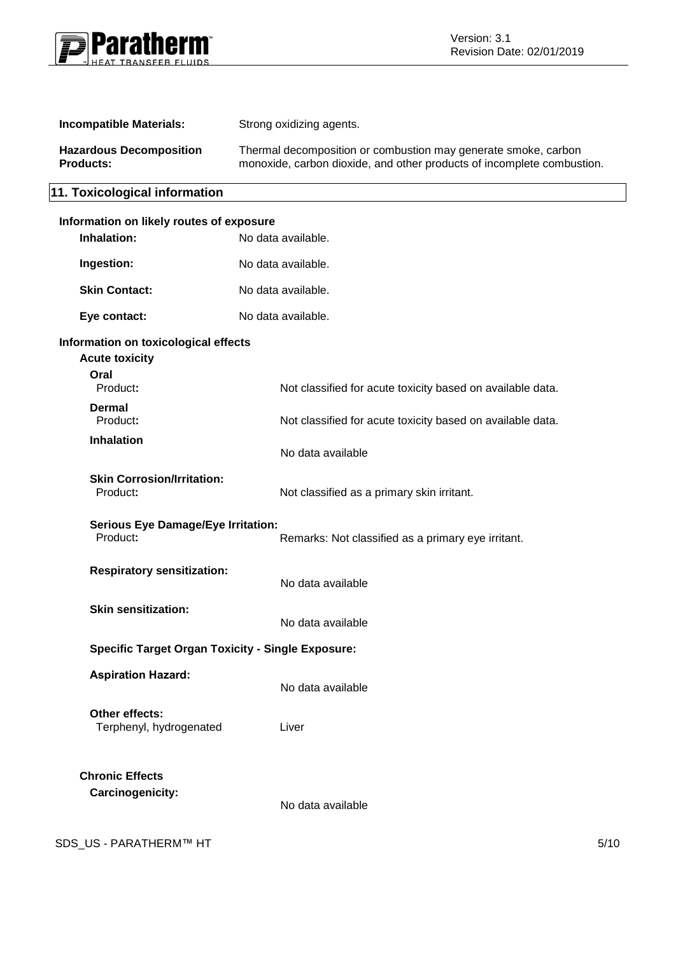

| <b>Incompatible Materials:</b>                                        | Strong oxidizing agents.                                                                                                                 |  |
|-----------------------------------------------------------------------|------------------------------------------------------------------------------------------------------------------------------------------|--|
| <b>Hazardous Decomposition</b><br><b>Products:</b>                    | Thermal decomposition or combustion may generate smoke, carbon<br>monoxide, carbon dioxide, and other products of incomplete combustion. |  |
| 11. Toxicological information                                         |                                                                                                                                          |  |
| Information on likely routes of exposure                              |                                                                                                                                          |  |
| Inhalation:                                                           | No data available.                                                                                                                       |  |
| Ingestion:                                                            | No data available.                                                                                                                       |  |
| <b>Skin Contact:</b>                                                  | No data available.                                                                                                                       |  |
| Eye contact:                                                          | No data available.                                                                                                                       |  |
| Information on toxicological effects<br><b>Acute toxicity</b><br>Oral |                                                                                                                                          |  |
| Product:<br><b>Dermal</b><br>Product:                                 | Not classified for acute toxicity based on available data.<br>Not classified for acute toxicity based on available data.                 |  |
| <b>Inhalation</b>                                                     | No data available                                                                                                                        |  |
| <b>Skin Corrosion/Irritation:</b><br>Product:                         | Not classified as a primary skin irritant.                                                                                               |  |
| <b>Serious Eye Damage/Eye Irritation:</b><br>Product:                 | Remarks: Not classified as a primary eye irritant.                                                                                       |  |
| <b>Respiratory sensitization:</b>                                     | No data available                                                                                                                        |  |
| <b>Skin sensitization:</b>                                            | No data available                                                                                                                        |  |
| <b>Specific Target Organ Toxicity - Single Exposure:</b>              |                                                                                                                                          |  |
| <b>Aspiration Hazard:</b>                                             | No data available                                                                                                                        |  |
| Other effects:<br>Terphenyl, hydrogenated                             | Liver                                                                                                                                    |  |
| <b>Chronic Effects</b><br><b>Carcinogenicity:</b>                     | No data available                                                                                                                        |  |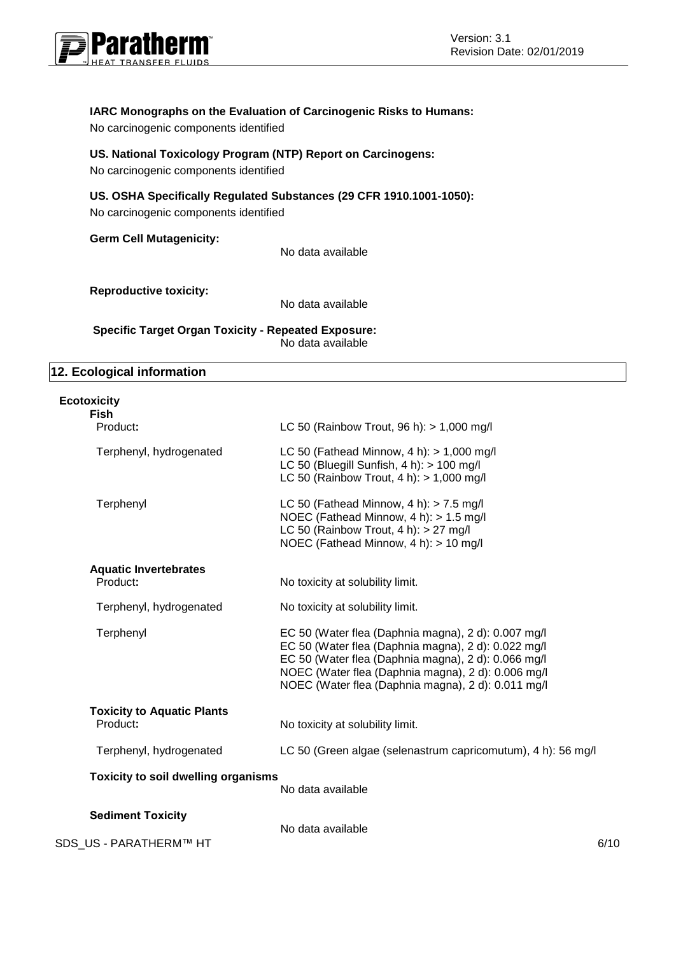

# **IARC Monographs on the Evaluation of Carcinogenic Risks to Humans:**

No carcinogenic components identified

# **US. National Toxicology Program (NTP) Report on Carcinogens:**

No carcinogenic components identified

# **US. OSHA Specifically Regulated Substances (29 CFR 1910.1001-1050):**

No carcinogenic components identified

## **Germ Cell Mutagenicity:**

No data available

# **Reproductive toxicity:**

No data available

**Specific Target Organ Toxicity - Repeated Exposure:**  No data available

# **12. Ecological information**

# **Ecotoxicity**

| Fish                                       |                                                                                                                                                                                                                                                                               |      |
|--------------------------------------------|-------------------------------------------------------------------------------------------------------------------------------------------------------------------------------------------------------------------------------------------------------------------------------|------|
| Product:                                   | LC 50 (Rainbow Trout, 96 h): $> 1,000$ mg/l                                                                                                                                                                                                                                   |      |
| Terphenyl, hydrogenated                    | LC 50 (Fathead Minnow, 4 h): $> 1,000$ mg/l<br>LC 50 (Bluegill Sunfish, $4 h$ ): $> 100 mg/l$<br>LC 50 (Rainbow Trout, $4 h$ ): $> 1,000$ mg/l                                                                                                                                |      |
| Terphenyl                                  | LC 50 (Fathead Minnow, 4 h): $>$ 7.5 mg/l<br>NOEC (Fathead Minnow, 4 h): > 1.5 mg/l<br>LC 50 (Rainbow Trout, 4 h): > 27 mg/l<br>NOEC (Fathead Minnow, 4 h): > 10 mg/l                                                                                                         |      |
| <b>Aquatic Invertebrates</b>               |                                                                                                                                                                                                                                                                               |      |
| Product:                                   | No toxicity at solubility limit.                                                                                                                                                                                                                                              |      |
| Terphenyl, hydrogenated                    | No toxicity at solubility limit.                                                                                                                                                                                                                                              |      |
| Terphenyl                                  | EC 50 (Water flea (Daphnia magna), 2 d): 0.007 mg/l<br>EC 50 (Water flea (Daphnia magna), 2 d): 0.022 mg/l<br>EC 50 (Water flea (Daphnia magna), 2 d): 0.066 mg/l<br>NOEC (Water flea (Daphnia magna), 2 d): 0.006 mg/l<br>NOEC (Water flea (Daphnia magna), 2 d): 0.011 mg/l |      |
| <b>Toxicity to Aquatic Plants</b>          |                                                                                                                                                                                                                                                                               |      |
| Product:                                   | No toxicity at solubility limit.                                                                                                                                                                                                                                              |      |
| Terphenyl, hydrogenated                    | LC 50 (Green algae (selenastrum capricomutum), 4 h): 56 mg/l                                                                                                                                                                                                                  |      |
| <b>Toxicity to soil dwelling organisms</b> | No data available                                                                                                                                                                                                                                                             |      |
| <b>Sediment Toxicity</b>                   |                                                                                                                                                                                                                                                                               |      |
| SDS US - PARATHERM™ HT                     | No data available                                                                                                                                                                                                                                                             | 6/10 |
|                                            |                                                                                                                                                                                                                                                                               |      |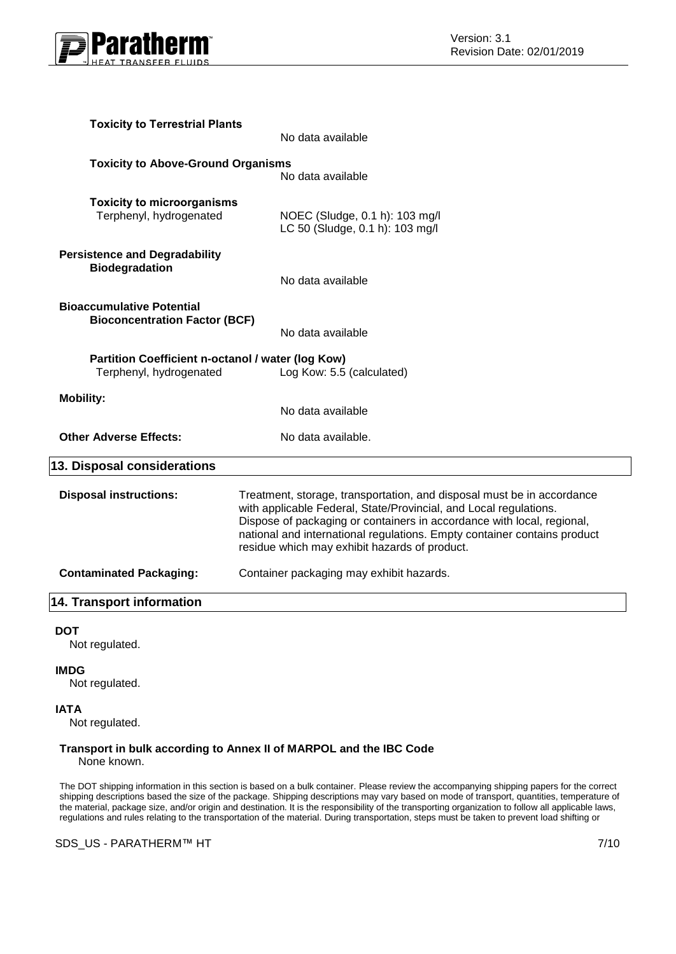

| <b>Toxicity to Terrestrial Plants</b>                                        | No data available                                                                                                                                                                                                                                                                                                                                  |
|------------------------------------------------------------------------------|----------------------------------------------------------------------------------------------------------------------------------------------------------------------------------------------------------------------------------------------------------------------------------------------------------------------------------------------------|
| <b>Toxicity to Above-Ground Organisms</b>                                    | No data available                                                                                                                                                                                                                                                                                                                                  |
| <b>Toxicity to microorganisms</b><br>Terphenyl, hydrogenated                 | NOEC (Sludge, 0.1 h): 103 mg/l<br>LC 50 (Sludge, 0.1 h): 103 mg/l                                                                                                                                                                                                                                                                                  |
| <b>Persistence and Degradability</b><br><b>Biodegradation</b>                | No data available                                                                                                                                                                                                                                                                                                                                  |
| <b>Bioaccumulative Potential</b><br><b>Bioconcentration Factor (BCF)</b>     | No data available                                                                                                                                                                                                                                                                                                                                  |
| Partition Coefficient n-octanol / water (log Kow)<br>Terphenyl, hydrogenated | Log Kow: 5.5 (calculated)                                                                                                                                                                                                                                                                                                                          |
| <b>Mobility:</b>                                                             | No data available                                                                                                                                                                                                                                                                                                                                  |
| <b>Other Adverse Effects:</b>                                                | No data available.                                                                                                                                                                                                                                                                                                                                 |
| 13. Disposal considerations                                                  |                                                                                                                                                                                                                                                                                                                                                    |
| <b>Disposal instructions:</b>                                                | Treatment, storage, transportation, and disposal must be in accordance<br>with applicable Federal, State/Provincial, and Local regulations.<br>Dispose of packaging or containers in accordance with local, regional,<br>national and international regulations. Empty container contains product<br>residue which may exhibit hazards of product. |
| <b>Contaminated Packaging:</b>                                               | Container packaging may exhibit hazards.                                                                                                                                                                                                                                                                                                           |
| 14. Transport information                                                    |                                                                                                                                                                                                                                                                                                                                                    |

### **DOT**

Not regulated.

#### **IMDG**

Not regulated.

**IATA**

Not regulated.

# **Transport in bulk according to Annex II of MARPOL and the IBC Code**

None known.

The DOT shipping information in this section is based on a bulk container. Please review the accompanying shipping papers for the correct shipping descriptions based the size of the package. Shipping descriptions may vary based on mode of transport, quantities, temperature of the material, package size, and/or origin and destination. It is the responsibility of the transporting organization to follow all applicable laws, regulations and rules relating to the transportation of the material. During transportation, steps must be taken to prevent load shifting or

SDS\_US - PARATHERM™ HT 7/10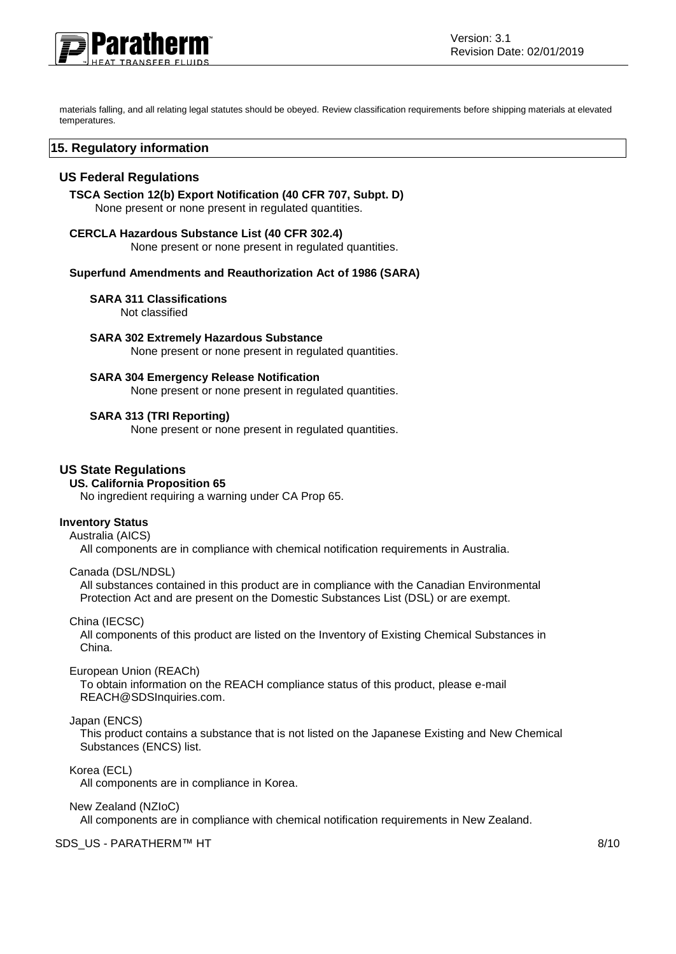

materials falling, and all relating legal statutes should be obeyed. Review classification requirements before shipping materials at elevated temperatures.

# **15. Regulatory information**

# **US Federal Regulations**

**TSCA Section 12(b) Export Notification (40 CFR 707, Subpt. D)** None present or none present in regulated quantities.

# **CERCLA Hazardous Substance List (40 CFR 302.4)**

None present or none present in regulated quantities.

#### **Superfund Amendments and Reauthorization Act of 1986 (SARA)**

#### **SARA 311 Classifications**

Not classified

#### **SARA 302 Extremely Hazardous Substance**

None present or none present in regulated quantities.

#### **SARA 304 Emergency Release Notification**

None present or none present in regulated quantities.

#### **SARA 313 (TRI Reporting)**

None present or none present in regulated quantities.

# **US State Regulations**

#### **US. California Proposition 65**

No ingredient requiring a warning under CA Prop 65.

#### **Inventory Status**

Australia (AICS)

All components are in compliance with chemical notification requirements in Australia.

#### Canada (DSL/NDSL)

All substances contained in this product are in compliance with the Canadian Environmental Protection Act and are present on the Domestic Substances List (DSL) or are exempt.

China (IECSC)

All components of this product are listed on the Inventory of Existing Chemical Substances in China.

#### European Union (REACh)

To obtain information on the REACH compliance status of this product, please e-mail REACH@SDSInquiries.com.

#### Japan (ENCS)

This product contains a substance that is not listed on the Japanese Existing and New Chemical Substances (ENCS) list.

Korea (ECL)

All components are in compliance in Korea.

New Zealand (NZIoC)

All components are in compliance with chemical notification requirements in New Zealand.

SDS US - PARATHERM™ HT 8/10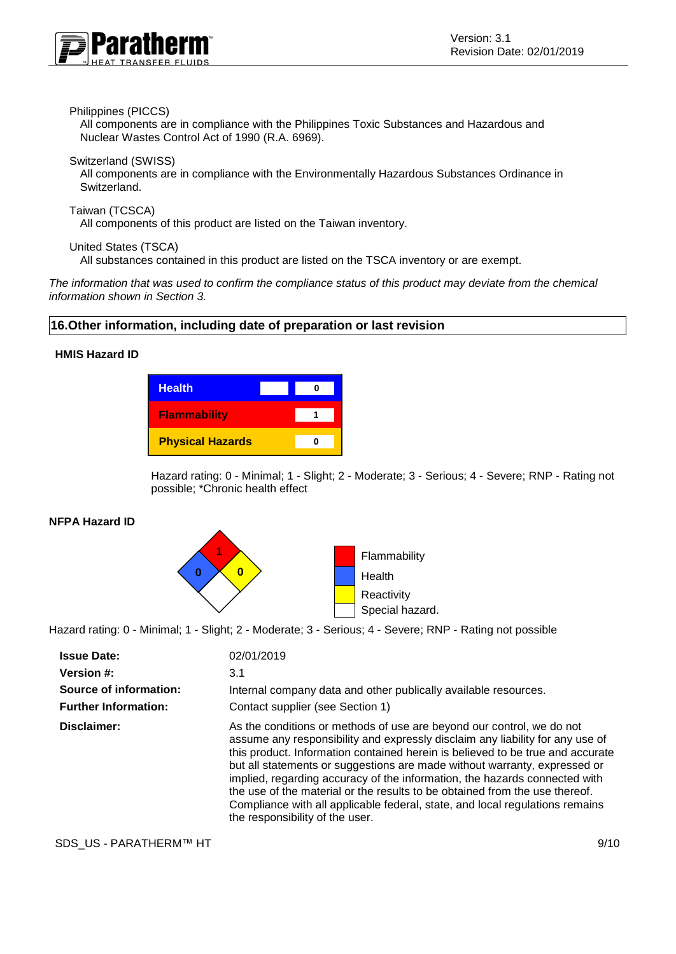Philippines (PICCS)

All components are in compliance with the Philippines Toxic Substances and Hazardous and Nuclear Wastes Control Act of 1990 (R.A. 6969).

Switzerland (SWISS)

All components are in compliance with the Environmentally Hazardous Substances Ordinance in Switzerland.

Taiwan (TCSCA)

All components of this product are listed on the Taiwan inventory.

United States (TSCA)

All substances contained in this product are listed on the TSCA inventory or are exempt.

*The information that was used to confirm the compliance status of this product may deviate from the chemical information shown in Section 3.*

#### **16.Other information, including date of preparation or last revision**

# **HMIS Hazard ID**



Hazard rating: 0 - Minimal; 1 - Slight; 2 - Moderate; 3 - Serious; 4 - Severe; RNP - Rating not possible; \*Chronic health effect

#### **NFPA Hazard ID**



Hazard rating: 0 - Minimal; 1 - Slight; 2 - Moderate; 3 - Serious; 4 - Severe; RNP - Rating not possible

| <b>Issue Date:</b>            | 02/01/2019                                                                                                                                                                                                                                                                                                                                                                                                                                                                                                                                                                                            |
|-------------------------------|-------------------------------------------------------------------------------------------------------------------------------------------------------------------------------------------------------------------------------------------------------------------------------------------------------------------------------------------------------------------------------------------------------------------------------------------------------------------------------------------------------------------------------------------------------------------------------------------------------|
| <b>Version #:</b>             | 3.1                                                                                                                                                                                                                                                                                                                                                                                                                                                                                                                                                                                                   |
| <b>Source of information:</b> | Internal company data and other publically available resources.                                                                                                                                                                                                                                                                                                                                                                                                                                                                                                                                       |
| <b>Further Information:</b>   | Contact supplier (see Section 1)                                                                                                                                                                                                                                                                                                                                                                                                                                                                                                                                                                      |
| Disclaimer:                   | As the conditions or methods of use are beyond our control, we do not<br>assume any responsibility and expressly disclaim any liability for any use of<br>this product. Information contained herein is believed to be true and accurate<br>but all statements or suggestions are made without warranty, expressed or<br>implied, regarding accuracy of the information, the hazards connected with<br>the use of the material or the results to be obtained from the use thereof.<br>Compliance with all applicable federal, state, and local regulations remains<br>the responsibility of the user. |